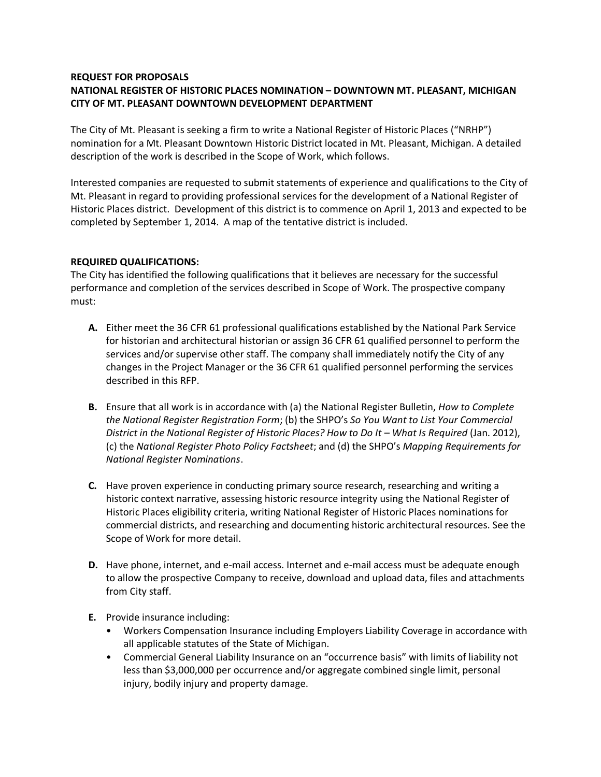#### **REQUEST FOR PROPOSALS**

# **NATIONAL REGISTER OF HISTORIC PLACES NOMINATION – DOWNTOWN MT. PLEASANT, MICHIGAN CITY OF MT. PLEASANT DOWNTOWN DEVELOPMENT DEPARTMENT**

The City of Mt. Pleasant is seeking a firm to write a National Register of Historic Places ("NRHP") nomination for a Mt. Pleasant Downtown Historic District located in Mt. Pleasant, Michigan. A detailed description of the work is described in the Scope of Work, which follows.

Interested companies are requested to submit statements of experience and qualifications to the City of Mt. Pleasant in regard to providing professional services for the development of a National Register of Historic Places district. Development of this district is to commence on April 1, 2013 and expected to be completed by September 1, 2014. A map of the tentative district is included.

## **REQUIRED QUALIFICATIONS:**

The City has identified the following qualifications that it believes are necessary for the successful performance and completion of the services described in Scope of Work. The prospective company must:

- **A.** Either meet the 36 CFR 61 professional qualifications established by the National Park Service for historian and architectural historian or assign 36 CFR 61 qualified personnel to perform the services and/or supervise other staff. The company shall immediately notify the City of any changes in the Project Manager or the 36 CFR 61 qualified personnel performing the services described in this RFP.
- **B.** Ensure that all work is in accordance with (a) the National Register Bulletin, *How to Complete the National Register Registration Form*; (b) the SHPO's *So You Want to List Your Commercial District in the National Register of Historic Places? How to Do It – What Is Required (Jan. 2012),* (c) the *National Register Photo Policy Factsheet*; and (d) the SHPO's *Mapping Requirements for National Register Nominations*.
- **C.** Have proven experience in conducting primary source research, researching and writing a historic context narrative, assessing historic resource integrity using the National Register of Historic Places eligibility criteria, writing National Register of Historic Places nominations for commercial districts, and researching and documenting historic architectural resources. See the Scope of Work for more detail.
- **D.** Have phone, internet, and e-mail access. Internet and e-mail access must be adequate enough to allow the prospective Company to receive, download and upload data, files and attachments from City staff.
- **E.** Provide insurance including:
	- Workers Compensation Insurance including Employers Liability Coverage in accordance with all applicable statutes of the State of Michigan.
	- Commercial General Liability Insurance on an "occurrence basis" with limits of liability not less than \$3,000,000 per occurrence and/or aggregate combined single limit, personal injury, bodily injury and property damage.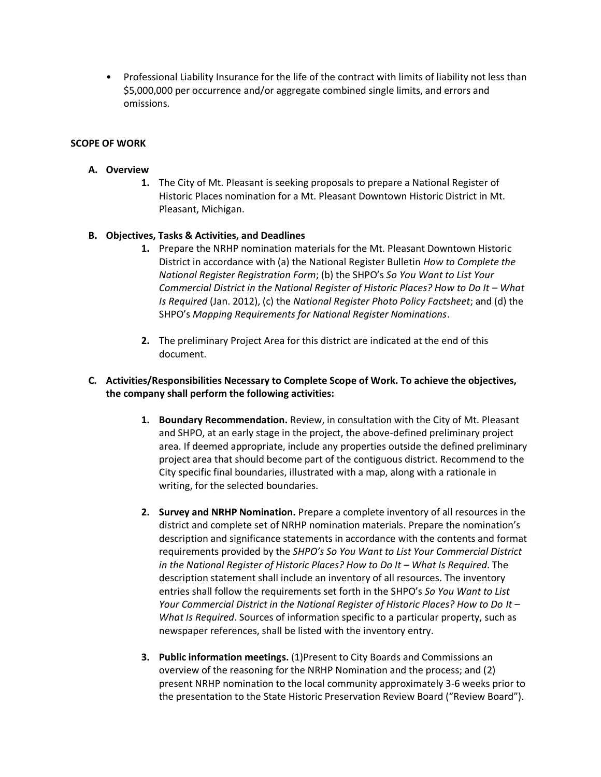• Professional Liability Insurance for the life of the contract with limits of liability not less than \$5,000,000 per occurrence and/or aggregate combined single limits, and errors and omissions.

## **SCOPE OF WORK**

## **A. Overview**

**1.** The City of Mt. Pleasant is seeking proposals to prepare a National Register of Historic Places nomination for a Mt. Pleasant Downtown Historic District in Mt. Pleasant, Michigan.

## **B. Objectives, Tasks & Activities, and Deadlines**

- **1.** Prepare the NRHP nomination materials for the Mt. Pleasant Downtown Historic District in accordance with (a) the National Register Bulletin *How to Complete the National Register Registration Form*; (b) the SHPO's *So You Want to List Your Commercial District in the National Register of Historic Places? How to Do It – What Is Required* (Jan. 2012), (c) the *National Register Photo Policy Factsheet*; and (d) the SHPO's *Mapping Requirements for National Register Nominations*.
- **2.** The preliminary Project Area for this district are indicated at the end of this document.

## **C. Activities/Responsibilities Necessary to Complete Scope of Work. To achieve the objectives, the company shall perform the following activities:**

- **1. Boundary Recommendation.** Review, in consultation with the City of Mt. Pleasant and SHPO, at an early stage in the project, the above-defined preliminary project area. If deemed appropriate, include any properties outside the defined preliminary project area that should become part of the contiguous district. Recommend to the City specific final boundaries, illustrated with a map, along with a rationale in writing, for the selected boundaries.
- **2. Survey and NRHP Nomination.** Prepare a complete inventory of all resources in the district and complete set of NRHP nomination materials. Prepare the nomination's description and significance statements in accordance with the contents and format requirements provided by the *SHPO's So You Want to List Your Commercial District in the National Register of Historic Places? How to Do It – What Is Required. The* description statement shall include an inventory of all resources. The inventory entries shall follow the requirements set forth in the SHPO's *So You Want to List Your Commercial District in the National Register of Historic Places? How to Do It – What Is Required*. Sources of information specific to a particular property, such as newspaper references, shall be listed with the inventory entry.
- **3. Public information meetings.** (1)Present to City Boards and Commissions an overview of the reasoning for the NRHP Nomination and the process; and (2) present NRHP nomination to the local community approximately 3-6 weeks prior to the presentation to the State Historic Preservation Review Board ("Review Board").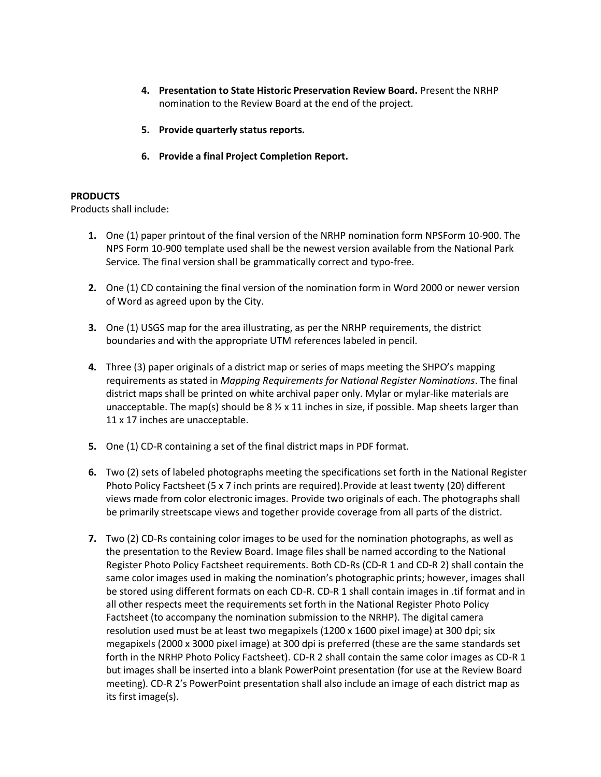- **4. Presentation to State Historic Preservation Review Board.** Present the NRHP nomination to the Review Board at the end of the project.
- **5. Provide quarterly status reports.**
- **6. Provide a final Project Completion Report.**

### **PRODUCTS**

Products shall include:

- **1.** One (1) paper printout of the final version of the NRHP nomination form NPSForm 10-900. The NPS Form 10-900 template used shall be the newest version available from the National Park Service. The final version shall be grammatically correct and typo-free.
- **2.** One (1) CD containing the final version of the nomination form in Word 2000 or newer version of Word as agreed upon by the City.
- **3.** One (1) USGS map for the area illustrating, as per the NRHP requirements, the district boundaries and with the appropriate UTM references labeled in pencil.
- **4.** Three (3) paper originals of a district map or series of maps meeting the SHPO's mapping requirements as stated in *Mapping Requirements for National Register Nominations*. The final district maps shall be printed on white archival paper only. Mylar or mylar-like materials are unacceptable. The map(s) should be  $8 \frac{1}{2} \times 11$  inches in size, if possible. Map sheets larger than 11 x 17 inches are unacceptable.
- **5.** One (1) CD-R containing a set of the final district maps in PDF format.
- **6.** Two (2) sets of labeled photographs meeting the specifications set forth in the National Register Photo Policy Factsheet (5 x 7 inch prints are required).Provide at least twenty (20) different views made from color electronic images. Provide two originals of each. The photographs shall be primarily streetscape views and together provide coverage from all parts of the district.
- **7.** Two (2) CD-Rs containing color images to be used for the nomination photographs, as well as the presentation to the Review Board. Image files shall be named according to the National Register Photo Policy Factsheet requirements. Both CD-Rs (CD-R 1 and CD-R 2) shall contain the same color images used in making the nomination's photographic prints; however, images shall be stored using different formats on each CD-R. CD-R 1 shall contain images in .tif format and in all other respects meet the requirements set forth in the National Register Photo Policy Factsheet (to accompany the nomination submission to the NRHP). The digital camera resolution used must be at least two megapixels (1200 x 1600 pixel image) at 300 dpi; six megapixels (2000 x 3000 pixel image) at 300 dpi is preferred (these are the same standards set forth in the NRHP Photo Policy Factsheet). CD-R 2 shall contain the same color images as CD-R 1 but images shall be inserted into a blank PowerPoint presentation (for use at the Review Board meeting). CD-R 2's PowerPoint presentation shall also include an image of each district map as its first image(s).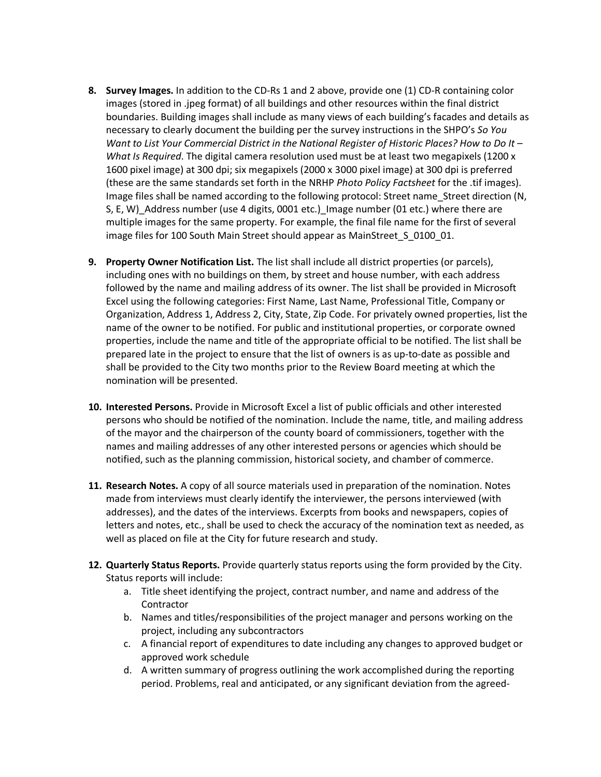- **8. Survey Images.** In addition to the CD-Rs 1 and 2 above, provide one (1) CD-R containing color images (stored in .jpeg format) of all buildings and other resources within the final district boundaries. Building images shall include as many views of each building's facades and details as necessary to clearly document the building per the survey instructions in the SHPO's *So You Want to List Your Commercial District in the National Register of Historic Places? How to Do It – What Is Required*. The digital camera resolution used must be at least two megapixels (1200 x 1600 pixel image) at 300 dpi; six megapixels (2000 x 3000 pixel image) at 300 dpi is preferred (these are the same standards set forth in the NRHP *Photo Policy Factsheet* for the .tif images). Image files shall be named according to the following protocol: Street name Street direction (N, S, E, W) Address number (use 4 digits, 0001 etc.) Image number (01 etc.) where there are multiple images for the same property. For example, the final file name for the first of several image files for 100 South Main Street should appear as MainStreet\_S\_0100\_01.
- **9. Property Owner Notification List.** The list shall include all district properties (or parcels), including ones with no buildings on them, by street and house number, with each address followed by the name and mailing address of its owner. The list shall be provided in Microsoft Excel using the following categories: First Name, Last Name, Professional Title, Company or Organization, Address 1, Address 2, City, State, Zip Code. For privately owned properties, list the name of the owner to be notified. For public and institutional properties, or corporate owned properties, include the name and title of the appropriate official to be notified. The list shall be prepared late in the project to ensure that the list of owners is as up-to-date as possible and shall be provided to the City two months prior to the Review Board meeting at which the nomination will be presented.
- **10. Interested Persons.** Provide in Microsoft Excel a list of public officials and other interested persons who should be notified of the nomination. Include the name, title, and mailing address of the mayor and the chairperson of the county board of commissioners, together with the names and mailing addresses of any other interested persons or agencies which should be notified, such as the planning commission, historical society, and chamber of commerce.
- **11. Research Notes.** A copy of all source materials used in preparation of the nomination. Notes made from interviews must clearly identify the interviewer, the persons interviewed (with addresses), and the dates of the interviews. Excerpts from books and newspapers, copies of letters and notes, etc., shall be used to check the accuracy of the nomination text as needed, as well as placed on file at the City for future research and study.
- **12. Quarterly Status Reports.** Provide quarterly status reports using the form provided by the City. Status reports will include:
	- a. Title sheet identifying the project, contract number, and name and address of the **Contractor**
	- b. Names and titles/responsibilities of the project manager and persons working on the project, including any subcontractors
	- c. A financial report of expenditures to date including any changes to approved budget or approved work schedule
	- d. A written summary of progress outlining the work accomplished during the reporting period. Problems, real and anticipated, or any significant deviation from the agreed-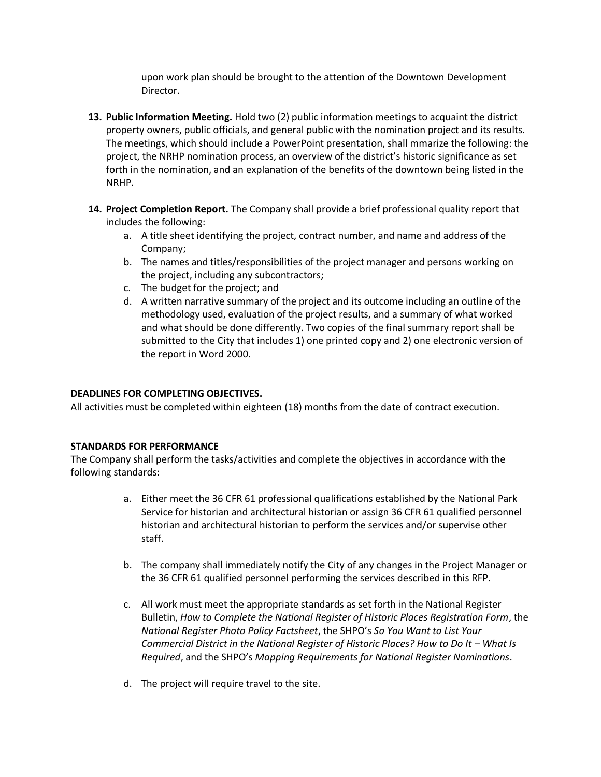upon work plan should be brought to the attention of the Downtown Development Director.

- **13. Public Information Meeting.** Hold two (2) public information meetings to acquaint the district property owners, public officials, and general public with the nomination project and its results. The meetings, which should include a PowerPoint presentation, shall mmarize the following: the project, the NRHP nomination process, an overview of the district's historic significance as set forth in the nomination, and an explanation of the benefits of the downtown being listed in the NRHP.
- **14. Project Completion Report.** The Company shall provide a brief professional quality report that includes the following:
	- a. A title sheet identifying the project, contract number, and name and address of the Company;
	- b. The names and titles/responsibilities of the project manager and persons working on the project, including any subcontractors;
	- c. The budget for the project; and
	- d. A written narrative summary of the project and its outcome including an outline of the methodology used, evaluation of the project results, and a summary of what worked and what should be done differently. Two copies of the final summary report shall be submitted to the City that includes 1) one printed copy and 2) one electronic version of the report in Word 2000.

# **DEADLINES FOR COMPLETING OBJECTIVES.**

All activities must be completed within eighteen (18) months from the date of contract execution.

## **STANDARDS FOR PERFORMANCE**

The Company shall perform the tasks/activities and complete the objectives in accordance with the following standards:

- a. Either meet the 36 CFR 61 professional qualifications established by the National Park Service for historian and architectural historian or assign 36 CFR 61 qualified personnel historian and architectural historian to perform the services and/or supervise other staff.
- b. The company shall immediately notify the City of any changes in the Project Manager or the 36 CFR 61 qualified personnel performing the services described in this RFP.
- c. All work must meet the appropriate standards as set forth in the National Register Bulletin, *How to Complete the National Register of Historic Places Registration Form*, the *National Register Photo Policy Factsheet*, the SHPO's *So You Want to List Your Commercial District in the National Register of Historic Places? How to Do It – What Is Required*, and the SHPO's *Mapping Requirements for National Register Nominations*.
- d. The project will require travel to the site.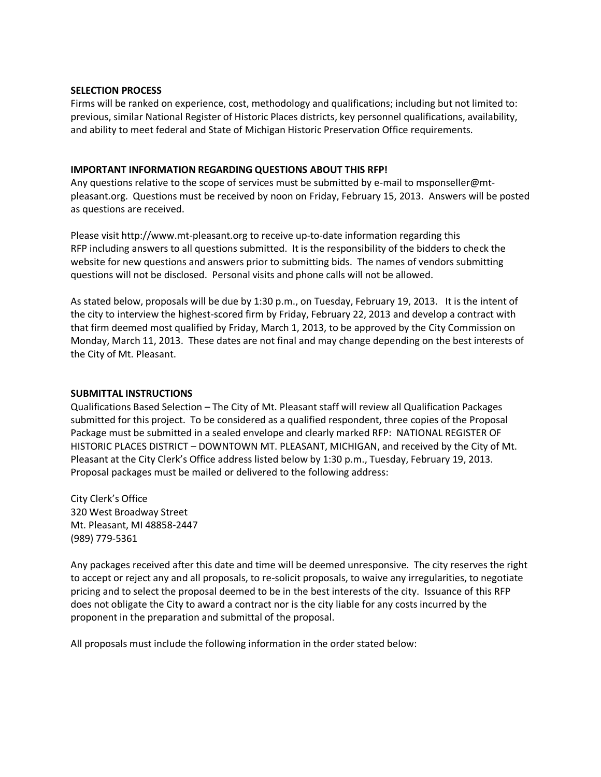#### **SELECTION PROCESS**

Firms will be ranked on experience, cost, methodology and qualifications; including but not limited to: previous, similar National Register of Historic Places districts, key personnel qualifications, availability, and ability to meet federal and State of Michigan Historic Preservation Office requirements.

## **IMPORTANT INFORMATION REGARDING QUESTIONS ABOUT THIS RFP!**

Any questions relative to the scope of services must be submitted by e-mail to msponseller@mtpleasant.org. Questions must be received by noon on Friday, February 15, 2013. Answers will be posted as questions are received.

Please visit http://www.mt-pleasant.org to receive up-to-date information regarding this RFP including answers to all questions submitted. It is the responsibility of the bidders to check the website for new questions and answers prior to submitting bids. The names of vendors submitting questions will not be disclosed. Personal visits and phone calls will not be allowed.

As stated below, proposals will be due by 1:30 p.m., on Tuesday, February 19, 2013. It is the intent of the city to interview the highest-scored firm by Friday, February 22, 2013 and develop a contract with that firm deemed most qualified by Friday, March 1, 2013, to be approved by the City Commission on Monday, March 11, 2013. These dates are not final and may change depending on the best interests of the City of Mt. Pleasant.

## **SUBMITTAL INSTRUCTIONS**

Qualifications Based Selection – The City of Mt. Pleasant staff will review all Qualification Packages submitted for this project. To be considered as a qualified respondent, three copies of the Proposal Package must be submitted in a sealed envelope and clearly marked RFP: NATIONAL REGISTER OF HISTORIC PLACES DISTRICT – DOWNTOWN MT. PLEASANT, MICHIGAN, and received by the City of Mt. Pleasant at the City Clerk's Office address listed below by 1:30 p.m., Tuesday, February 19, 2013. Proposal packages must be mailed or delivered to the following address:

City Clerk's Office 320 West Broadway Street Mt. Pleasant, MI 48858-2447 (989) 779-5361

Any packages received after this date and time will be deemed unresponsive. The city reserves the right to accept or reject any and all proposals, to re-solicit proposals, to waive any irregularities, to negotiate pricing and to select the proposal deemed to be in the best interests of the city. Issuance of this RFP does not obligate the City to award a contract nor is the city liable for any costs incurred by the proponent in the preparation and submittal of the proposal.

All proposals must include the following information in the order stated below: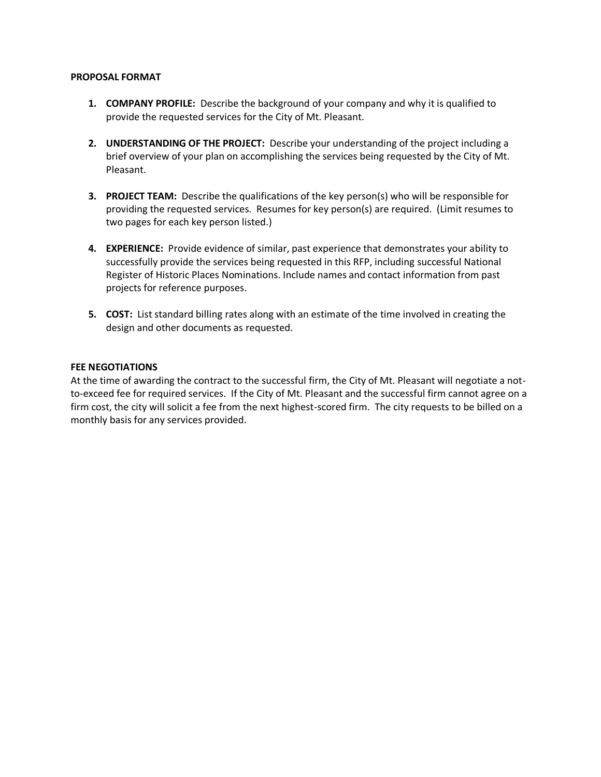#### **PROPOSAL FORMAT**

- **1. COMPANY PROFILE:** Describe the background of your company and why it is qualified to provide the requested services for the City of Mt. Pleasant.
- **2. UNDERSTANDING OF THE PROJECT:** Describe your understanding of the project including a brief overview of your plan on accomplishing the services being requested by the City of Mt. Pleasant.
- **3. PROJECT TEAM:** Describe the qualifications of the key person(s) who will be responsible for providing the requested services. Resumes for key person(s) are required. (Limit resumes to two pages for each key person listed.)
- **4. EXPERIENCE:** Provide evidence of similar, past experience that demonstrates your ability to successfully provide the services being requested in this RFP, including successful National Register of Historic Places Nominations. Include names and contact information from past projects for reference purposes.
- **5. COST:** List standard billing rates along with an estimate of the time involved in creating the design and other documents as requested.

## **FEE NEGOTIATIONS**

At the time of awarding the contract to the successful firm, the City of Mt. Pleasant will negotiate a notto-exceed fee for required services. If the City of Mt. Pleasant and the successful firm cannot agree on a firm cost, the city will solicit a fee from the next highest-scored firm. The city requests to be billed on a monthly basis for any services provided.